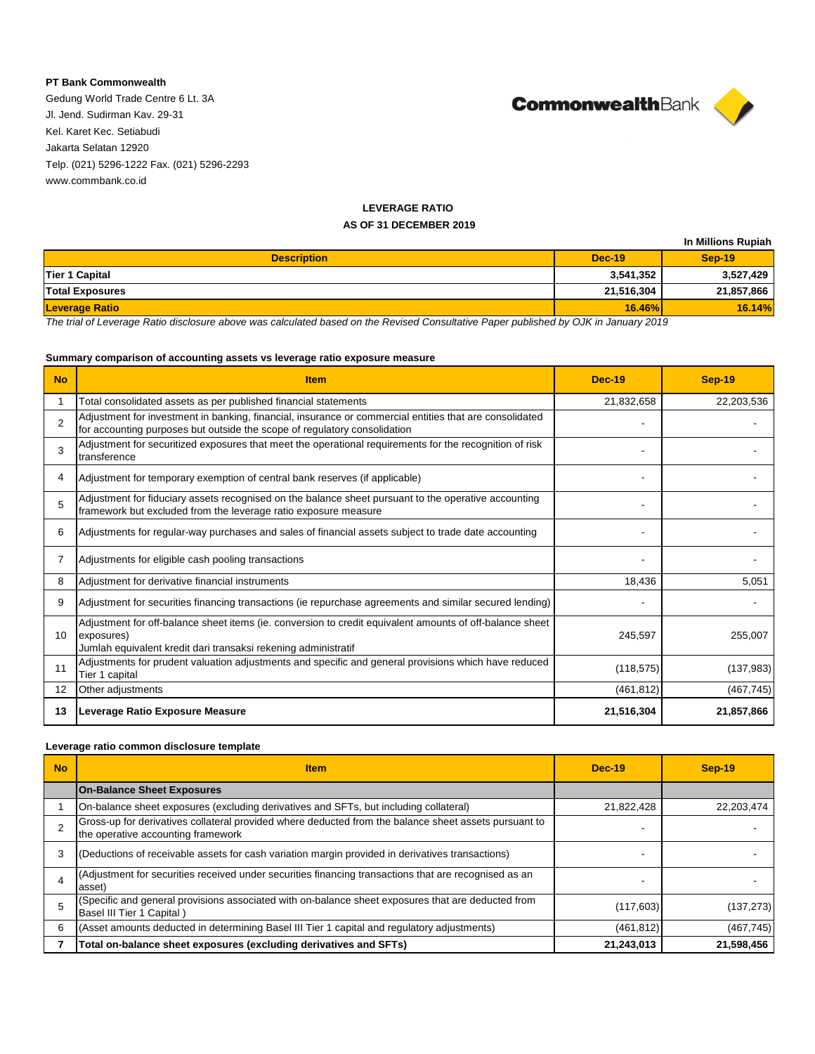## **PT Bank Commonwealth**

Gedung World Trade Centre 6 Lt. 3A Jl. Jend. Sudirman Kav. 29-31 Kel. Karet Kec. Setiabudi Jakarta Selatan 12920 Telp. (021) 5296-1222 Fax. (021) 5296-2293 www.commbank.co.id



## **LEVERAGE RATIO AS OF 31 DECEMBER 2019**

|                        |               | In Millions Rupiah |
|------------------------|---------------|--------------------|
| <b>Description</b>     | <b>Dec-19</b> | $Sep-19$           |
| <b>Tier 1 Capital</b>  | 3,541,352     | 3,527,429          |
| <b>Total Exposures</b> | 21,516,304    | 21,857,866         |
| <b>Leverage Ratio</b>  | <b>16.46%</b> | 16.14%             |

*The trial of Leverage Ratio disclosure above was calculated based on the Revised Consultative Paper published by OJK in January 2019*

## **Summary comparison of accounting assets vs leverage ratio exposure measure**

| <b>No</b>      | <b>Item</b>                                                                                                                                                                              | <b>Dec-19</b> | <b>Sep-19</b> |
|----------------|------------------------------------------------------------------------------------------------------------------------------------------------------------------------------------------|---------------|---------------|
|                | Total consolidated assets as per published financial statements                                                                                                                          | 21,832,658    | 22,203,536    |
| $\mathfrak{p}$ | Adjustment for investment in banking, financial, insurance or commercial entities that are consolidated<br>for accounting purposes but outside the scope of regulatory consolidation     |               |               |
| 3              | Adjustment for securitized exposures that meet the operational requirements for the recognition of risk<br>transference                                                                  |               |               |
| 4              | Adjustment for temporary exemption of central bank reserves (if applicable)                                                                                                              |               |               |
| 5              | Adjustment for fiduciary assets recognised on the balance sheet pursuant to the operative accounting<br>framework but excluded from the leverage ratio exposure measure                  |               |               |
| 6              | Adjustments for regular-way purchases and sales of financial assets subject to trade date accounting                                                                                     |               |               |
|                | Adjustments for eligible cash pooling transactions                                                                                                                                       |               |               |
| 8              | Adjustment for derivative financial instruments                                                                                                                                          | 18,436        | 5,051         |
| 9              | Adjustment for securities financing transactions (ie repurchase agreements and similar secured lending)                                                                                  |               |               |
| 10             | Adjustment for off-balance sheet items (ie. conversion to credit equivalent amounts of off-balance sheet<br>exposures)<br>Jumlah equivalent kredit dari transaksi rekening administratif | 245,597       | 255,007       |
| 11             | Adjustments for prudent valuation adjustments and specific and general provisions which have reduced<br>Tier 1 capital                                                                   | (118, 575)    | (137, 983)    |
| 12             | Other adjustments                                                                                                                                                                        | (461, 812)    | (467, 745)    |
| 13             | Leverage Ratio Exposure Measure                                                                                                                                                          | 21,516,304    | 21,857,866    |

## **Leverage ratio common disclosure template**

| <b>No</b> | <b>Item</b>                                                                                                                                 | <b>Dec-19</b> | <b>Sep-19</b> |
|-----------|---------------------------------------------------------------------------------------------------------------------------------------------|---------------|---------------|
|           | <b>On-Balance Sheet Exposures</b>                                                                                                           |               |               |
|           | On-balance sheet exposures (excluding derivatives and SFTs, but including collateral)                                                       | 21,822,428    | 22,203,474    |
|           | Gross-up for derivatives collateral provided where deducted from the balance sheet assets pursuant to<br>the operative accounting framework |               |               |
| 3         | (Deductions of receivable assets for cash variation margin provided in derivatives transactions)                                            |               |               |
|           | (Adjustment for securities received under securities financing transactions that are recognised as an<br>asset)                             |               |               |
|           | (Specific and general provisions associated with on-balance sheet exposures that are deducted from<br>Basel III Tier 1 Capital)             | (117, 603)    | (137, 273)    |
| 6         | (Asset amounts deducted in determining Basel III Tier 1 capital and regulatory adjustments)                                                 | (461, 812)    | (467, 745)    |
|           | Total on-balance sheet exposures (excluding derivatives and SFTs)                                                                           | 21,243,013    | 21,598,456    |